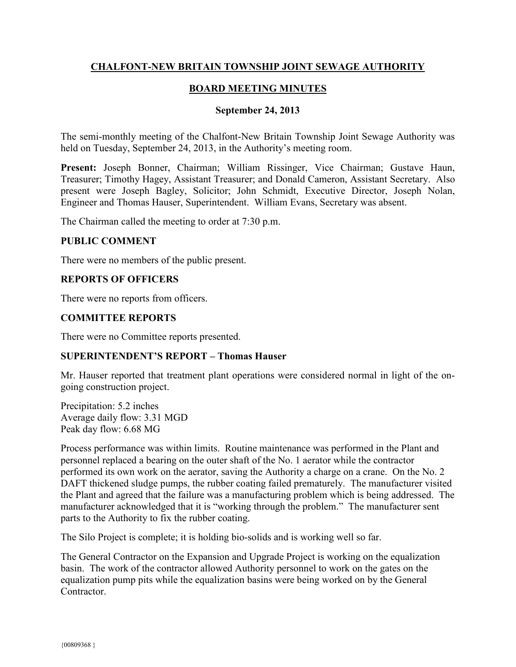## **CHALFONT-NEW BRITAIN TOWNSHIP JOINT SEWAGE AUTHORITY**

## **BOARD MEETING MINUTES**

#### **September 24, 2013**

The semi-monthly meeting of the Chalfont-New Britain Township Joint Sewage Authority was held on Tuesday, September 24, 2013, in the Authority's meeting room.

**Present:** Joseph Bonner, Chairman; William Rissinger, Vice Chairman; Gustave Haun, Treasurer; Timothy Hagey, Assistant Treasurer; and Donald Cameron, Assistant Secretary. Also present were Joseph Bagley, Solicitor; John Schmidt, Executive Director, Joseph Nolan, Engineer and Thomas Hauser, Superintendent. William Evans, Secretary was absent.

The Chairman called the meeting to order at 7:30 p.m.

#### **PUBLIC COMMENT**

There were no members of the public present.

## **REPORTS OF OFFICERS**

There were no reports from officers.

#### **COMMITTEE REPORTS**

There were no Committee reports presented.

#### **SUPERINTENDENT'S REPORT – Thomas Hauser**

Mr. Hauser reported that treatment plant operations were considered normal in light of the ongoing construction project.

Precipitation: 5.2 inches Average daily flow: 3.31 MGD Peak day flow: 6.68 MG

Process performance was within limits. Routine maintenance was performed in the Plant and personnel replaced a bearing on the outer shaft of the No. 1 aerator while the contractor performed its own work on the aerator, saving the Authority a charge on a crane. On the No. 2 DAFT thickened sludge pumps, the rubber coating failed prematurely. The manufacturer visited the Plant and agreed that the failure was a manufacturing problem which is being addressed. The manufacturer acknowledged that it is "working through the problem." The manufacturer sent parts to the Authority to fix the rubber coating.

The Silo Project is complete; it is holding bio-solids and is working well so far.

The General Contractor on the Expansion and Upgrade Project is working on the equalization basin. The work of the contractor allowed Authority personnel to work on the gates on the equalization pump pits while the equalization basins were being worked on by the General Contractor.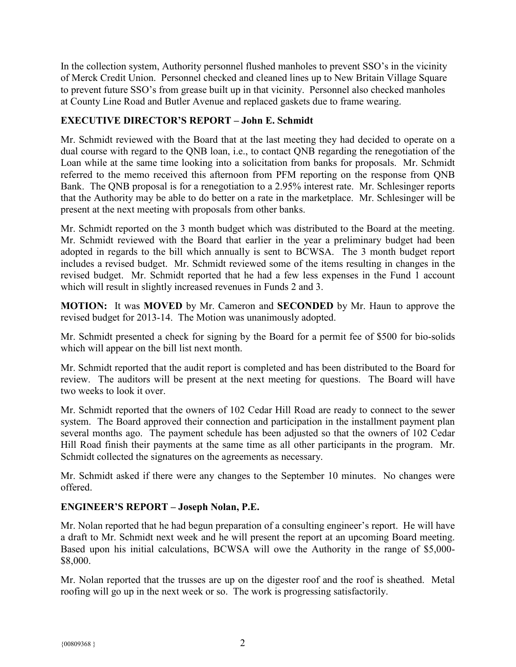In the collection system, Authority personnel flushed manholes to prevent SSO's in the vicinity of Merck Credit Union. Personnel checked and cleaned lines up to New Britain Village Square to prevent future SSO's from grease built up in that vicinity. Personnel also checked manholes at County Line Road and Butler Avenue and replaced gaskets due to frame wearing.

# **EXECUTIVE DIRECTOR'S REPORT – John E. Schmidt**

Mr. Schmidt reviewed with the Board that at the last meeting they had decided to operate on a dual course with regard to the QNB loan, i.e., to contact QNB regarding the renegotiation of the Loan while at the same time looking into a solicitation from banks for proposals. Mr. Schmidt referred to the memo received this afternoon from PFM reporting on the response from QNB Bank. The QNB proposal is for a renegotiation to a 2.95% interest rate. Mr. Schlesinger reports that the Authority may be able to do better on a rate in the marketplace. Mr. Schlesinger will be present at the next meeting with proposals from other banks.

Mr. Schmidt reported on the 3 month budget which was distributed to the Board at the meeting. Mr. Schmidt reviewed with the Board that earlier in the year a preliminary budget had been adopted in regards to the bill which annually is sent to BCWSA. The 3 month budget report includes a revised budget. Mr. Schmidt reviewed some of the items resulting in changes in the revised budget. Mr. Schmidt reported that he had a few less expenses in the Fund 1 account which will result in slightly increased revenues in Funds 2 and 3.

**MOTION:** It was **MOVED** by Mr. Cameron and **SECONDED** by Mr. Haun to approve the revised budget for 2013-14. The Motion was unanimously adopted.

Mr. Schmidt presented a check for signing by the Board for a permit fee of \$500 for bio-solids which will appear on the bill list next month.

Mr. Schmidt reported that the audit report is completed and has been distributed to the Board for review. The auditors will be present at the next meeting for questions. The Board will have two weeks to look it over.

Mr. Schmidt reported that the owners of 102 Cedar Hill Road are ready to connect to the sewer system. The Board approved their connection and participation in the installment payment plan several months ago. The payment schedule has been adjusted so that the owners of 102 Cedar Hill Road finish their payments at the same time as all other participants in the program. Mr. Schmidt collected the signatures on the agreements as necessary.

Mr. Schmidt asked if there were any changes to the September 10 minutes. No changes were offered.

## **ENGINEER'S REPORT – Joseph Nolan, P.E.**

Mr. Nolan reported that he had begun preparation of a consulting engineer's report. He will have a draft to Mr. Schmidt next week and he will present the report at an upcoming Board meeting. Based upon his initial calculations, BCWSA will owe the Authority in the range of \$5,000- \$8,000.

Mr. Nolan reported that the trusses are up on the digester roof and the roof is sheathed. Metal roofing will go up in the next week or so. The work is progressing satisfactorily.